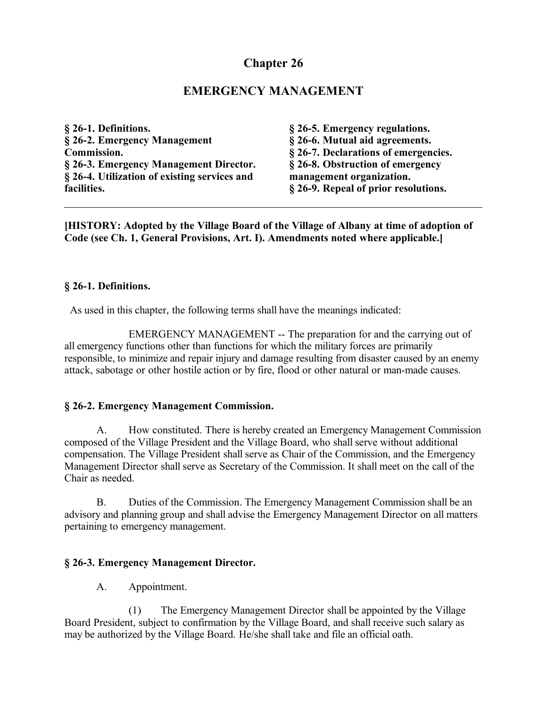# **Chapter 26**

# **EMERGENCY MANAGEMENT**

| § 26-1. Definitions.                         | § 26-5. Emergency regulations.       |
|----------------------------------------------|--------------------------------------|
| § 26-2. Emergency Management                 | § 26-6. Mutual aid agreements.       |
| Commission.                                  | § 26-7. Declarations of emergencies. |
| § 26-3. Emergency Management Director.       | § 26-8. Obstruction of emergency     |
| § 26-4. Utilization of existing services and | management organization.             |
| facilities.                                  | § 26-9. Repeal of prior resolutions. |

**[HISTORY: Adopted by the Village Board of the Village of Albany at time of adoption of Code (see Ch. 1, General Provisions, Art. I). Amendments noted where applicable.]**

#### **§ 26-1. Definitions.**

As used in this chapter, the following terms shall have the meanings indicated:

EMERGENCY MANAGEMENT -- The preparation for and the carrying out of all emergency functions other than functions for which the military forces are primarily responsible, to minimize and repair injury and damage resulting from disaster caused by an enemy attack, sabotage or other hostile action or by fire, flood or other natural or man-made causes.

#### **§ 26-2. Emergency Management Commission.**

A. How constituted. There is hereby created an Emergency Management Commission composed of the Village President and the Village Board, who shall serve without additional compensation. The Village President shall serve as Chair of the Commission, and the Emergency Management Director shall serve as Secretary of the Commission. It shall meet on the call of the Chair as needed.

B. Duties of the Commission. The Emergency Management Commission shall be an advisory and planning group and shall advise the Emergency Management Director on all matters pertaining to emergency management.

#### **§ 26-3. Emergency Management Director.**

A. Appointment.

(1) The Emergency Management Director shall be appointed by the Village Board President, subject to confirmation by the Village Board, and shall receive such salary as may be authorized by the Village Board. He/she shall take and file an official oath.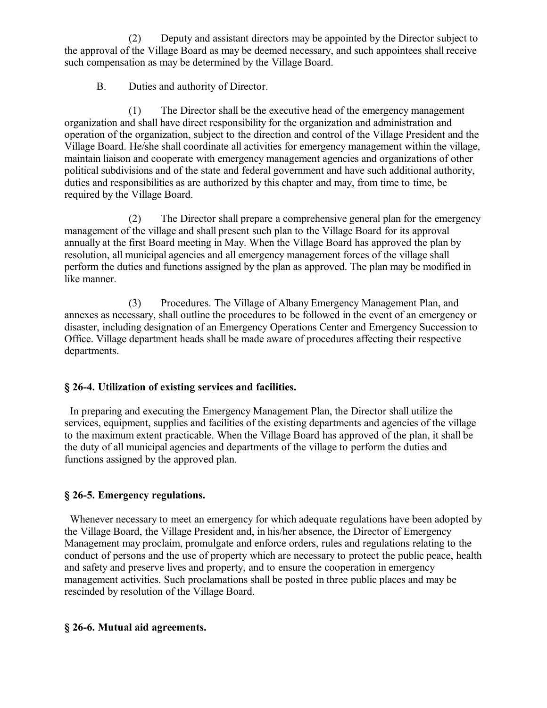(2) Deputy and assistant directors may be appointed by the Director subject to the approval of the Village Board as may be deemed necessary, and such appointees shall receive such compensation as may be determined by the Village Board.

B. Duties and authority of Director.

(1) The Director shall be the executive head of the emergency management organization and shall have direct responsibility for the organization and administration and operation of the organization, subject to the direction and control of the Village President and the Village Board. He/she shall coordinate all activities for emergency management within the village, maintain liaison and cooperate with emergency management agencies and organizations of other political subdivisions and of the state and federal government and have such additional authority, duties and responsibilities as are authorized by this chapter and may, from time to time, be required by the Village Board.

(2) The Director shall prepare a comprehensive general plan for the emergency management of the village and shall present such plan to the Village Board for its approval annually at the first Board meeting in May. When the Village Board has approved the plan by resolution, all municipal agencies and all emergency management forces of the village shall perform the duties and functions assigned by the plan as approved. The plan may be modified in like manner.

(3) Procedures. The Village of Albany Emergency Management Plan, and annexes as necessary, shall outline the procedures to be followed in the event of an emergency or disaster, including designation of an Emergency Operations Center and Emergency Succession to Office. Village department heads shall be made aware of procedures affecting their respective departments.

# **§ 26-4. Utilization of existing services and facilities.**

 In preparing and executing the Emergency Management Plan, the Director shall utilize the services, equipment, supplies and facilities of the existing departments and agencies of the village to the maximum extent practicable. When the Village Board has approved of the plan, it shall be the duty of all municipal agencies and departments of the village to perform the duties and functions assigned by the approved plan.

## **§ 26-5. Emergency regulations.**

 Whenever necessary to meet an emergency for which adequate regulations have been adopted by the Village Board, the Village President and, in his/her absence, the Director of Emergency Management may proclaim, promulgate and enforce orders, rules and regulations relating to the conduct of persons and the use of property which are necessary to protect the public peace, health and safety and preserve lives and property, and to ensure the cooperation in emergency management activities. Such proclamations shall be posted in three public places and may be rescinded by resolution of the Village Board.

## **§ 26-6. Mutual aid agreements.**